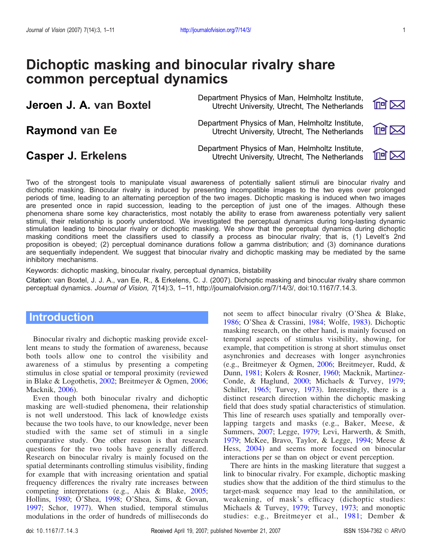# Dichoptic masking and binocular rivalry share common perceptual dynamics

Department Physics of Man, Helmholtz Institute, **Jeroen J. A. van Boxtel Utrecht University, Utrecht, The Netherlands** 

Department Physics of Man, Helmholtz Institute, **Raymond van Ee** Utrecht University, Utrecht, The Netherlands





Department Physics of Man, Helmholtz Institute, Casper J. Erkelens Utrecht University, Utrecht, The Netherlands



Two of the strongest tools to manipulate visual awareness of potentially salient stimuli are binocular rivalry and dichoptic masking. Binocular rivalry is induced by presenting incompatible images to the two eyes over prolonged periods of time, leading to an alternating perception of the two images. Dichoptic masking is induced when two images are presented once in rapid succession, leading to the perception of just one of the images. Although these phenomena share some key characteristics, most notably the ability to erase from awareness potentially very salient stimuli, their relationship is poorly understood. We investigated the perceptual dynamics during long-lasting dynamic stimulation leading to binocular rivalry or dichoptic masking. We show that the perceptual dynamics during dichoptic masking conditions meet the classifiers used to classify a process as binocular rivalry; that is, (1) Levelt's 2nd proposition is obeyed; (2) perceptual dominance durations follow a gamma distribution; and (3) dominance durations are sequentially independent. We suggest that binocular rivalry and dichoptic masking may be mediated by the same inhibitory mechanisms.

Keywords: dichoptic masking, binocular rivalry, perceptual dynamics, bistability

Citation: van Boxtel, J. J. A., van Ee, R., & Erkelens, C. J. (2007). Dichoptic masking and binocular rivalry share common perceptual dynamics. Journal of Vision, 7(14):3, 1–11, http://journalofvision.org/7/14/3/, doi:10.1167/7.14.3.

## **Introduction**

Binocular rivalry and dichoptic masking provide excellent means to study the formation of awareness, because both tools allow one to control the visibility and awareness of a stimulus by presenting a competing stimulus in close spatial or temporal proximity (reviewed in Blake & Logothetis, [2002;](#page-8-0) Breitmeyer & Ogmen, [2006](#page-9-0); Macknik, [2006](#page-9-0)).

Even though both binocular rivalry and dichoptic masking are well-studied phenomena, their relationship is not well understood. This lack of knowledge exists because the two tools have, to our knowledge, never been studied with the same set of stimuli in a single comparative study. One other reason is that research questions for the two tools have generally differed. Research on binocular rivalry is mainly focused on the spatial determinants controlling stimulus visibility, finding for example that with increasing orientation and spatial frequency differences the rivalry rate increases between competing interpretations (e.g., Alais & Blake, [2005](#page-8-0); Hollins, [1980](#page-9-0); O'Shea, [1998](#page-9-0); O'Shea, Sims, & Govan, [1997;](#page-10-0) Schor, [1977](#page-10-0)). When studied, temporal stimulus modulations in the order of hundreds of milliseconds do

not seem to affect binocular rivalry (O'Shea & Blake, [1986;](#page-10-0) O'Shea & Crassini, [1984;](#page-10-0) Wolfe, [1983\)](#page-10-0). Dichoptic masking research, on the other hand, is mainly focused on temporal aspects of stimulus visibility, showing, for example, that competition is strong at short stimulus onset asynchronies and decreases with longer asynchronies (e.g., Breitmeyer & Ogmen, [2006;](#page-9-0) Breitmeyer, Rudd, & Dunn, [1981](#page-9-0); Kolers & Rosner, [1960;](#page-9-0) Macknik, Martinez-Conde, & Haglund, [2000](#page-9-0); Michaels & Turvey, [1979;](#page-9-0) Schiller, [1965](#page-10-0); Turvey, [1973\)](#page-10-0). Interestingly, there is a distinct research direction within the dichoptic masking field that does study spatial characteristics of stimulation. This line of research uses spatially and temporally overlapping targets and masks (e.g., Baker, Meese, & Summers, [2007;](#page-8-0) Legge, [1979;](#page-9-0) Levi, Harwerth, & Smith, [1979;](#page-9-0) McKee, Bravo, Taylor, & Legge, [1994;](#page-9-0) Meese & Hess, [2004](#page-9-0)) and seems more focused on binocular interactions per se than on object or event perception.

There are hints in the masking literature that suggest a link to binocular rivalry. For example, dichoptic masking studies show that the addition of the third stimulus to the target-mask sequence may lead to the annihilation, or weakening, of mask's efficacy (dichoptic studies: Michaels & Turvey, [1979](#page-9-0); Turvey, [1973;](#page-10-0) and monoptic studies: e.g., Breitmeyer et al., [1981;](#page-9-0) Dember &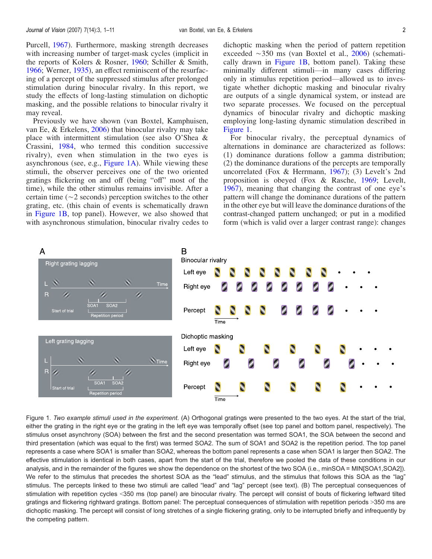<span id="page-1-0"></span>Purcell, [1967](#page-9-0)). Furthermore, masking strength decreases with increasing number of target-mask cycles (implicit in the reports of Kolers & Rosner, [1960](#page-9-0); Schiller & Smith, [1966;](#page-10-0) Werner, [1935\)](#page-10-0), an effect reminiscent of the resurfacing of a percept of the suppressed stimulus after prolonged stimulation during binocular rivalry. In this report, we study the effects of long-lasting stimulation on dichoptic masking, and the possible relations to binocular rivalry it may reveal.

Previously we have shown (van Boxtel, Kamphuisen, van Ee, & Erkelens, [2006](#page-10-0)) that binocular rivalry may take place with intermittent stimulation (see also O'Shea & Crassini, [1984,](#page-10-0) who termed this condition successive rivalry), even when stimulation in the two eyes is asynchronous (see, e.g., Figure 1A). While viewing these stimuli, the observer perceives one of the two oriented gratings flickering on and off (being "off" most of the time), while the other stimulus remains invisible. After a certain time  $(\sim 2$  seconds) perception switches to the other grating, etc. (this chain of events is schematically drawn in Figure 1B, top panel). However, we also showed that with asynchronous stimulation, binocular rivalry cedes to

dichoptic masking when the period of pattern repetition exceeded  $\sim$ 350 ms (van Boxtel et al., [2006](#page-10-0)) (schematically drawn in Figure 1B, bottom panel). Taking these minimally different stimuli-in many cases differing only in stimulus repetition period—allowed us to investigate whether dichoptic masking and binocular rivalry are outputs of a single dynamical system, or instead are two separate processes. We focused on the perceptual dynamics of binocular rivalry and dichoptic masking employing long-lasting dynamic stimulation described in Figure 1.

For binocular rivalry, the perceptual dynamics of alternations in dominance are characterized as follows: (1) dominance durations follow a gamma distribution; (2) the dominance durations of the percepts are temporally uncorrelated (Fox & Herrmann, [1967\)](#page-9-0); (3) Levelt's 2nd proposition is obeyed (Fox & Rasche, [1969;](#page-9-0) Levelt, [1967\)](#page-9-0), meaning that changing the contrast of one eye's pattern will change the dominance durations of the pattern in the other eye but will leave the dominance durations of the contrast-changed pattern unchanged; or put in a modified form (which is valid over a larger contrast range): changes



Figure 1. Two example stimuli used in the experiment. (A) Orthogonal gratings were presented to the two eyes. At the start of the trial, either the grating in the right eye or the grating in the left eye was temporally offset (see top panel and bottom panel, respectively). The stimulus onset asynchrony (SOA) between the first and the second presentation was termed SOA1, the SOA between the second and third presentation (which was equal to the first) was termed SOA2. The sum of SOA1 and SOA2 is the repetition period. The top panel represents a case where SOA1 is smaller than SOA2, whereas the bottom panel represents a case when SOA1 is larger then SOA2. The effective stimulation is identical in both cases, apart from the start of the trial, therefore we pooled the data of these conditions in our analysis, and in the remainder of the figures we show the dependence on the shortest of the two SOA (i.e., minSOA = MIN[SOA1,SOA2]). We refer to the stimulus that precedes the shortest SOA as the "lead" stimulus, and the stimulus that follows this SOA as the "lag" stimulus. The percepts linked to these two stimuli are called "lead" and "lag" percept (see text). (B) The perceptual consequences of stimulation with repetition cycles <350 ms (top panel) are binocular rivalry. The percept will consist of bouts of flickering leftward tilted gratings and flickering rightward gratings. Bottom panel: The perceptual consequences of stimulation with repetition periods >350 ms are dichoptic masking. The percept will consist of long stretches of a single flickering grating, only to be interrupted briefly and infrequently by the competing pattern.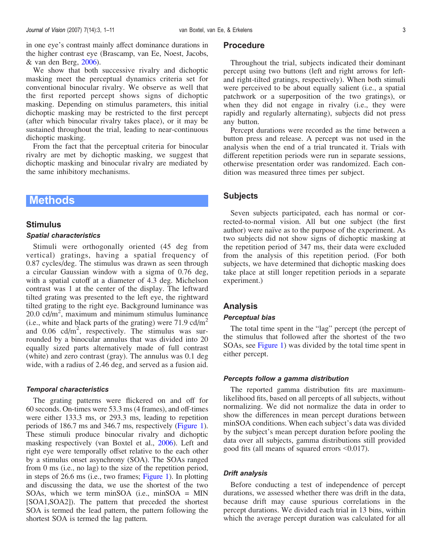<span id="page-2-0"></span>in one eye's contrast mainly affect dominance durations in the higher contrast eye (Brascamp, van Ee, Noest, Jacobs, & van den Berg, [2006\)](#page-9-0).

We show that both successive rivalry and dichoptic masking meet the perceptual dynamics criteria set for conventional binocular rivalry. We observe as well that the first reported percept shows signs of dichoptic masking. Depending on stimulus parameters, this initial dichoptic masking may be restricted to the first percept (after which binocular rivalry takes place), or it may be sustained throughout the trial, leading to near-continuous dichoptic masking.

From the fact that the perceptual criteria for binocular rivalry are met by dichoptic masking, we suggest that dichoptic masking and binocular rivalry are mediated by the same inhibitory mechanisms.

## Methods

#### Stimulus

#### Spatial characteristics

Stimuli were orthogonally oriented (45 deg from vertical) gratings, having a spatial frequency of 0.87 cycles/deg. The stimulus was drawn as seen through a circular Gaussian window with a sigma of 0.76 deg, with a spatial cutoff at a diameter of 4.3 deg. Michelson contrast was 1 at the center of the display. The leftward tilted grating was presented to the left eye, the rightward tilted grating to the right eye. Background luminance was 20.0 cd/m2 , maximum and minimum stimulus luminance (i.e., white and black parts of the grating) were  $71.9 \text{ cd/m}^2$ and 0.06 cd/m<sup>2</sup>, respectively. The stimulus was surrounded by a binocular annulus that was divided into 20 equally sized parts alternatively made of full contrast (white) and zero contrast (gray). The annulus was 0.1 deg wide, with a radius of 2.46 deg, and served as a fusion aid.

#### Temporal characteristics

The grating patterns were flickered on and off for 60 seconds. On-times were 53.3 ms (4 frames), and off-times were either 133.3 ms, or 293.3 ms, leading to repetition periods of 186.7 ms and 346.7 ms, respectively ([Figure 1\)](#page-1-0). These stimuli produce binocular rivalry and dichoptic masking respectively (van Boxtel et al., [2006](#page-10-0)). Left and right eye were temporally offset relative to the each other by a stimulus onset asynchrony (SOA). The SOAs ranged from 0 ms (i.e., no lag) to the size of the repetition period, in steps of 26.6 ms (i.e., two frames; [Figure 1\)](#page-1-0). In plotting and discussing the data, we use the shortest of the two SOAs, which we term minSOA (i.e., minSOA =  $MIN$ [SOA1,SOA2]). The pattern that preceded the shortest SOA is termed the lead pattern, the pattern following the shortest SOA is termed the lag pattern.

#### Procedure

Throughout the trial, subjects indicated their dominant percept using two buttons (left and right arrows for leftand right-tilted gratings, respectively). When both stimuli were perceived to be about equally salient (i.e., a spatial patchwork or a superposition of the two gratings), or when they did not engage in rivalry (i.e., they were rapidly and regularly alternating), subjects did not press any button.

Percept durations were recorded as the time between a button press and release. A percept was not used in the analysis when the end of a trial truncated it. Trials with different repetition periods were run in separate sessions, otherwise presentation order was randomized. Each condition was measured three times per subject.

#### Subjects

Seven subjects participated, each has normal or corrected-to-normal vision. All but one subject (the first author) were naïve as to the purpose of the experiment. As two subjects did not show signs of dichoptic masking at the repetition period of 347 ms, their data were excluded from the analysis of this repetition period. (For both subjects, we have determined that dichoptic masking does take place at still longer repetition periods in a separate experiment.)

#### Analysis

#### Perceptual bias

The total time spent in the "lag" percept (the percept of the stimulus that followed after the shortest of the two SOAs, see [Figure 1\)](#page-1-0) was divided by the total time spent in either percept.

#### Percepts follow a gamma distribution

The reported gamma distribution fits are maximumlikelihood fits, based on all percepts of all subjects, without normalizing. We did not normalize the data in order to show the differences in mean percept durations between minSOA conditions. When each subject's data was divided by the subject's mean percept duration before pooling the data over all subjects, gamma distributions still provided good fits (all means of squared errors  $\leq 0.017$ ).

#### Drift analysis

Before conducting a test of independence of percept durations, we assessed whether there was drift in the data, because drift may cause spurious correlations in the percept durations. We divided each trial in 13 bins, within which the average percept duration was calculated for all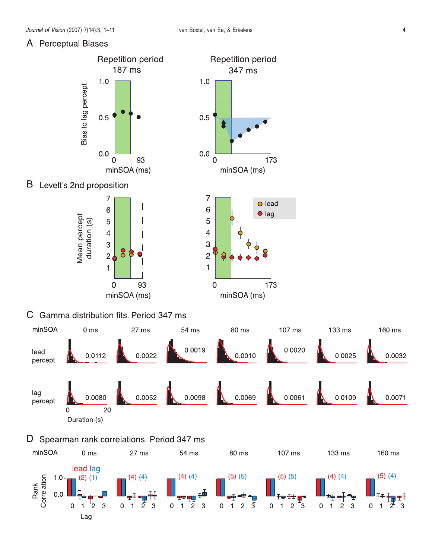## <span id="page-3-0"></span>A Perceptual Biases











## C Gamma distribution fits. Period 347 ms



## D Spearman rank correlations. Period 347 ms

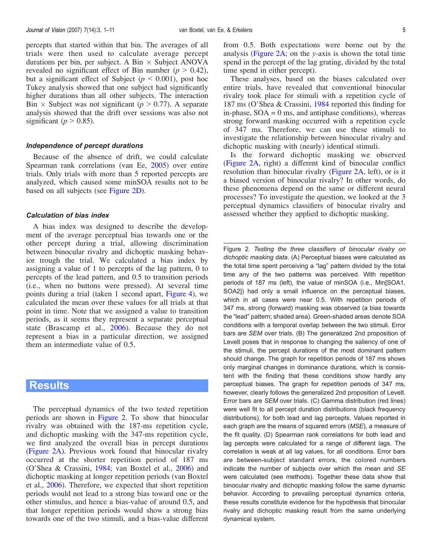percepts that started within that bin. The averages of all trials were then used to calculate average percept durations per bin, per subject. A Bin  $\times$  Subject ANOVA revealed no significant effect of Bin number ( $p > 0.42$ ), but a significant effect of Subject ( $p < 0.001$ ), post hoc Tukey analysis showed that one subject had significantly higher durations than all other subjects. The interaction Bin  $\times$  Subject was not significant ( $p > 0.77$ ). A separate analysis showed that the drift over sessions was also not significant ( $p > 0.85$ ).

#### Independence of percept durations

Because of the absence of drift, we could calculate Spearman rank correlations (van Ee, [2005\)](#page-10-0) over entire trials. Only trials with more than 5 reported percepts are analyzed, which caused some minSOA results not to be based on all subjects (see [Figure 2D](#page-3-0)).

#### Calculation of bias index

A bias index was designed to describe the development of the average perceptual bias towards one or the other percept during a trial, allowing discrimination between binocular rivalry and dichoptic masking behavior trough the trial. We calculated a bias index by assigning a value of 1 to percepts of the lag pattern, 0 to percepts of the lead pattern, and 0.5 to transition periods (i.e., when no buttons were pressed). At several time points during a trial (taken 1 second apart, [Figure 4\)](#page-7-0), we calculated the mean over these values for all trials at that point in time. Note that we assigned a value to transition periods, as it seems they represent a separate perceptual state (Brascamp et al., [2006\)](#page-9-0). Because they do not represent a bias in a particular direction, we assigned them an intermediate value of 0.5.

### Results

The perceptual dynamics of the two tested repetition periods are shown in [Figure 2.](#page-3-0) To show that binocular rivalry was obtained with the 187-ms repetition cycle, and dichoptic masking with the 347-ms repetition cycle, we first analyzed the overall bias in percept durations ([Figure 2A](#page-3-0)). Previous work found that binocular rivalry occurred at the shorter repetition period of 187 ms (O'Shea & Crassini, [1984](#page-10-0); van Boxtel et al., [2006](#page-10-0)) and dichoptic masking at longer repetition periods (van Boxtel et al., [2006\)](#page-10-0). Therefore, we expected that short repetition periods would not lead to a strong bias toward one or the other stimulus, and hence a bias-value of around 0.5, and that longer repetition periods would show a strong bias towards one of the two stimuli, and a bias-value different from 0.5. Both expectations were borne out by the analysis [\(Figure 2A](#page-3-0); on the y-axis is shown the total time spend in the percept of the lag grating, divided by the total time spend in either percept).

These analyses, based on the biases calculated over entire trials, have revealed that conventional binocular rivalry took place for stimuli with a repetition cycle of 187 ms (O'Shea & Crassini, [1984](#page-10-0) reported this finding for in-phase,  $SOA = 0$  ms, and antiphase conditions), whereas strong forward masking occurred with a repetition cycle of 347 ms. Therefore, we can use these stimuli to investigate the relationship between binocular rivalry and dichoptic masking with (nearly) identical stimuli.

Is the forward dichoptic masking we observed [\(Figure 2A,](#page-3-0) right) a different kind of binocular conflict resolution than binocular rivalry [\(Figure 2A](#page-3-0), left), or is it a biased version of binocular rivalry? In other words, do these phenomena depend on the same or different neural processes? To investigate the question, we looked at the 3 perceptual dynamics classifiers of binocular rivalry and assessed whether they applied to dichoptic masking.

Figure 2. Testing the three classifiers of binocular rivalry on dichoptic masking data. (A) Perceptual biases were calculated as the total time spent perceiving a "lag" pattern divided by the total time any of the two patterns was perceived. With repetition periods of 187 ms (left), the value of minSOA (i.e., Min[SOA1, SOA2]) had only a small influence on the perceptual biases, which in all cases were near 0.5. With repetition periods of 347 ms, strong (forward) masking was observed (a bias towards the "lead" pattern; shaded area). Green-shaded areas denote SOA conditions with a temporal overlap between the two stimuli. Error bars are SEM over trials. (B) The generalized 2nd proposition of Levelt poses that in response to changing the saliency of one of the stimuli, the percept durations of the most dominant pattern should change. The graph for repetition periods of 187 ms shows only marginal changes in dominance durations, which is consistent with the finding that these conditions show hardly any perceptual biases. The graph for repetition periods of 347 ms, however, clearly follows the generalized 2nd proposition of Levelt. Error bars are SEM over trials. (C) Gamma distribution (red lines) were well fit to all percept duration distributions (black frequency distributions), for both lead and lag percepts. Values reported in each graph are the means of squared errors (MSE), a measure of the fit quality. (D) Spearman rank correlations for both lead and lag percepts were calculated for a range of different lags. The correlation is weak at all lag values, for all conditions. Error bars are between-subject standard errors, the colored numbers indicate the number of subjects over which the mean and SE were calculated (see methods). Together these data show that binocular rivalry and dichoptic masking follow the same dynamic behavior. According to prevailing perceptual dynamics criteria, these results constitute evidence for the hypothesis that binocular rivalry and dichoptic masking result from the same underlying dynamical system.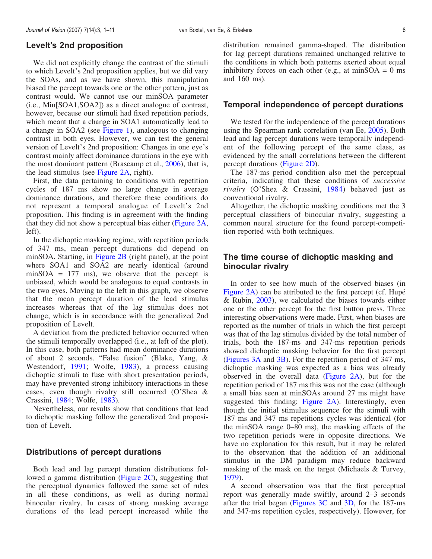#### Levelt*'*s 2nd proposition

We did not explicitly change the contrast of the stimuli to which Levelt's 2nd proposition applies, but we did vary the SOAs, and as we have shown, this manipulation biased the percept towards one or the other pattern, just as contrast would. We cannot use our minSOA parameter (i.e., Min[SOA1,SOA2]) as a direct analogue of contrast, however, because our stimuli had fixed repetition periods, which meant that a change in SOA1 automatically lead to a change in SOA2 (see [Figure 1\)](#page-1-0), analogous to changing contrast in both eyes. However, we can test the general version of Levelt's 2nd proposition: Changes in one eye's contrast mainly affect dominance durations in the eye with the most dominant pattern (Brascamp et al., [2006](#page-9-0)), that is, the lead stimulus (see [Figure 2A,](#page-3-0) right).

First, the data pertaining to conditions with repetition cycles of 187 ms show no large change in average dominance durations, and therefore these conditions do not represent a temporal analogue of Levelt's 2nd proposition. This finding is in agreement with the finding that they did not show a perceptual bias either ([Figure 2A](#page-3-0), left).

In the dichoptic masking regime, with repetition periods of 347 ms, mean percept durations did depend on minSOA. Starting, in [Figure 2B](#page-3-0) (right panel), at the point where SOA1 and SOA2 are nearly identical (around  $minSOA = 177$  ms), we observe that the percept is unbiased, which would be analogous to equal contrasts in the two eyes. Moving to the left in this graph, we observe that the mean percept duration of the lead stimulus increases whereas that of the lag stimulus does not change, which is in accordance with the generalized 2nd proposition of Levelt.

A deviation from the predicted behavior occurred when the stimuli temporally overlapped (i.e., at left of the plot). In this case, both patterns had mean dominance durations of about 2 seconds. "False fusion" (Blake, Yang, & Westendorf, [1991](#page-9-0); Wolfe, [1983\)](#page-10-0), a process causing dichoptic stimuli to fuse with short presentation periods, may have prevented strong inhibitory interactions in these cases, even though rivalry still occurred (O'Shea & Crassini, [1984](#page-10-0); Wolfe, [1983\)](#page-10-0).

Nevertheless, our results show that conditions that lead to dichoptic masking follow the generalized 2nd proposition of Levelt.

### Distributions of percept durations

Both lead and lag percept duration distributions followed a gamma distribution ([Figure 2C\)](#page-3-0), suggesting that the perceptual dynamics followed the same set of rules in all these conditions, as well as during normal binocular rivalry. In cases of strong masking average durations of the lead percept increased while the

distribution remained gamma-shaped. The distribution for lag percept durations remained unchanged relative to the conditions in which both patterns exerted about equal inhibitory forces on each other (e.g., at min $SOA = 0$  ms and 160 ms).

### Temporal independence of percept durations

We tested for the independence of the percept durations using the Spearman rank correlation (van Ee, [2005\)](#page-10-0). Both lead and lag percept durations were temporally independent of the following percept of the same class, as evidenced by the small correlations between the different percept durations [\(Figure 2D\)](#page-3-0).

The 187-ms period condition also met the perceptual criteria, indicating that these conditions of successive rivalry (O'Shea & Crassini, [1984\)](#page-10-0) behaved just as conventional rivalry.

Altogether, the dichoptic masking conditions met the 3 perceptual classifiers of binocular rivalry, suggesting a common neural structure for the found percept-competition reported with both techniques.

### The time course of dichoptic masking and binocular rivalry

In order to see how much of the observed biases (in [Figure 2A](#page-3-0)) can be attributed to the first percept (cf. Hupe<sup> $\epsilon$ </sup>) & Rubin, [2003](#page-9-0)), we calculated the biases towards either one or the other percept for the first button press. Three interesting observations were made. First, when biases are reported as the number of trials in which the first percept was that of the lag stimulus divided by the total number of trials, both the 187-ms and 347-ms repetition periods showed dichoptic masking behavior for the first percept [\(Figures 3A](#page-6-0) and [3B](#page-6-0)). For the repetition period of 347 ms, dichoptic masking was expected as a bias was already observed in the overall data ([Figure 2A\)](#page-3-0), but for the repetition period of 187 ms this was not the case (although a small bias seen at minSOAs around 27 ms might have suggested this finding; [Figure 2A](#page-3-0)). Interestingly, even though the initial stimulus sequence for the stimuli with 187 ms and 347 ms repetitions cycles was identical (for the minSOA range 0–80 ms), the masking effects of the two repetition periods were in opposite directions. We have no explanation for this result, but it may be related to the observation that the addition of an additional stimulus in the DM paradigm may reduce backward masking of the mask on the target (Michaels & Turvey, [1979\)](#page-9-0).

A second observation was that the first perceptual report was generally made swiftly, around 2–3 seconds after the trial began ([Figures 3C](#page-6-0) and [3D](#page-6-0), for the 187-ms and 347-ms repetition cycles, respectively). However, for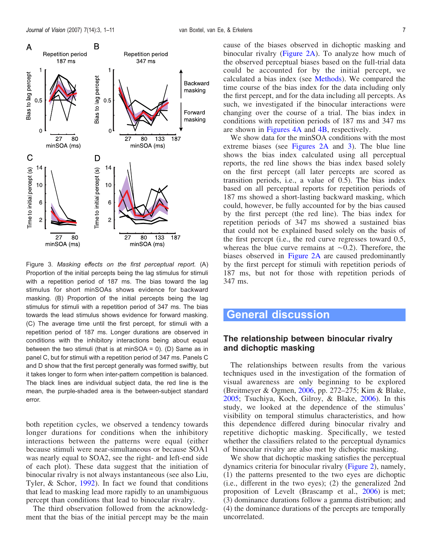<span id="page-6-0"></span>

Figure 3. Masking effects on the first perceptual report. (A) Proportion of the initial percepts being the lag stimulus for stimuli with a repetition period of 187 ms. The bias toward the lag stimulus for short minSOAs shows evidence for backward masking. (B) Proportion of the initial percepts being the lag stimulus for stimuli with a repetition period of 347 ms. The bias towards the lead stimulus shows evidence for forward masking. (C) The average time until the first percept, for stimuli with a repetition period of 187 ms. Longer durations are observed in conditions with the inhibitory interactions being about equal between the two stimuli (that is at minSOA =  $0$ ). (D) Same as in panel C, but for stimuli with a repetition period of 347 ms. Panels C and D show that the first percept generally was formed swiftly, but it takes longer to form when inter-pattern competition is balanced. The black lines are individual subject data, the red line is the mean, the purple-shaded area is the between-subject standard error.

both repetition cycles, we observed a tendency towards longer durations for conditions when the inhibitory interactions between the patterns were equal (either because stimuli were near-simultaneous or because SOA1 was nearly equal to SOA2, see the right- and left-end side of each plot). These data suggest that the initiation of binocular rivalry is not always instantaneous (see also Liu, Tyler, & Schor, [1992\)](#page-9-0). In fact we found that conditions that lead to masking lead more rapidly to an unambiguous percept than conditions that lead to binocular rivalry.

The third observation followed from the acknowledgment that the bias of the initial percept may be the main cause of the biases observed in dichoptic masking and binocular rivalry ([Figure 2A](#page-3-0)). To analyze how much of the observed perceptual biases based on the full-trial data could be accounted for by the initial percept, we calculated a bias index (see [Methods](#page-2-0)). We compared the time course of the bias index for the data including only the first percept, and for the data including all percepts. As such, we investigated if the binocular interactions were changing over the course of a trial. The bias index in conditions with repetition periods of 187 ms and 347 ms are shown in [Figures 4A](#page-7-0) and [4B,](#page-7-0) respectively.

We show data for the minSOA conditions with the most extreme biases (see [Figures 2A](#page-3-0) and 3). The blue line shows the bias index calculated using all perceptual reports, the red line shows the bias index based solely on the first percept (all later percepts are scored as transition periods, i.e., a value of 0.5). The bias index based on all perceptual reports for repetition periods of 187 ms showed a short-lasting backward masking, which could, however, be fully accounted for by the bias caused by the first percept (the red line). The bias index for repetition periods of 347 ms showed a sustained bias that could not be explained based solely on the basis of the first percept (i.e., the red curve regresses toward 0.5, whereas the blue curve remains at  $\sim$  0.2). Therefore, the biases observed in [Figure 2A](#page-3-0) are caused predominantly by the first percept for stimuli with repetition periods of 187 ms, but not for those with repetition periods of 347 ms.

## General discussion

### The relationship between binocular rivalry and dichoptic masking

The relationships between results from the various techniques used in the investigation of the formation of visual awareness are only beginning to be explored (Breitmeyer & Ogmen, [2006,](#page-9-0) pp. 272–275; Kim & Blake, [2005;](#page-9-0) Tsuchiya, Koch, Gilroy, & Blake, [2006](#page-10-0)). In this study, we looked at the dependence of the stimulus' visibility on temporal stimulus characteristics, and how this dependence differed during binocular rivalry and repetitive dichoptic masking. Specifically, we tested whether the classifiers related to the perceptual dynamics of binocular rivalry are also met by dichoptic masking.

We show that dichoptic masking satisfies the perceptual dynamics criteria for binocular rivalry [\(Figure 2](#page-3-0)), namely, (1) the patterns presented to the two eyes are dichoptic (i.e., different in the two eyes); (2) the generalized 2nd proposition of Levelt (Brascamp et al., [2006\)](#page-9-0) is met; (3) dominance durations follow a gamma distribution; and (4) the dominance durations of the percepts are temporally uncorrelated.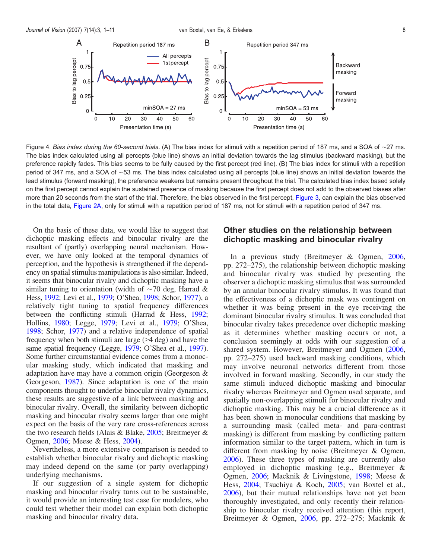<span id="page-7-0"></span>

Figure 4. Bias index during the 60-second trials. (A) The bias index for stimuli with a repetition period of 187 ms, and a SOA of  $\sim$ 27 ms. The bias index calculated using all percepts (blue line) shows an initial deviation towards the lag stimulus (backward masking), but the preference rapidly fades. This bias seems to be fully caused by the first percept (red line). (B) The bias index for stimuli with a repetition period of 347 ms, and a SOA of ~53 ms. The bias index calculated using all percepts (blue line) shows an initial deviation towards the lead stimulus (forward masking), the preference weakens but remains present throughout the trial. The calculated bias index based solely on the first percept cannot explain the sustained presence of masking because the first percept does not add to the observed biases after more than 20 seconds from the start of the trial. Therefore, the bias observed in the first percept, [Figure 3,](#page-6-0) can explain the bias observed in the total data, [Figure 2A](#page-3-0), only for stimuli with a repetition period of 187 ms, not for stimuli with a repetition period of 347 ms.

On the basis of these data, we would like to suggest that dichoptic masking effects and binocular rivalry are the resultant of (partly) overlapping neural mechanism. However, we have only looked at the temporal dynamics of perception, and the hypothesis is strengthened if the dependency on spatial stimulus manipulations is also similar. Indeed, it seems that binocular rivalry and dichoptic masking have a similar tuning to orientation (width of  $\sim$  70 deg, Harrad & Hess, [1992;](#page-9-0) Levi et al., [1979;](#page-9-0) O'Shea, [1998;](#page-9-0) Schor, [1977](#page-10-0)), a relatively tight tuning to spatial frequency differences between the conflicting stimuli (Harrad & Hess, [1992](#page-9-0); Hollins, [1980;](#page-9-0) Legge, [1979](#page-9-0); Levi et al., [1979;](#page-9-0) O'Shea, [1998](#page-9-0); Schor, [1977](#page-10-0)) and a relative independence of spatial frequency when both stimuli are large  $(>4 \text{ deg})$  and have the same spatial frequency (Legge, [1979;](#page-9-0) O'Shea et al., [1997](#page-10-0)). Some further circumstantial evidence comes from a monocular masking study, which indicated that masking and adaptation have may have a common origin (Georgeson & Georgeson, [1987\)](#page-9-0). Since adaptation is one of the main components thought to underlie binocular rivalry dynamics, these results are suggestive of a link between masking and binocular rivalry. Overall, the similarity between dichoptic masking and binocular rivalry seems larger than one might expect on the basis of the very rare cross-references across the two research fields (Alais & Blake, [2005](#page-8-0); Breitmeyer & Ogmen, [2006](#page-9-0); Meese & Hess, [2004](#page-9-0)).

Nevertheless, a more extensive comparison is needed to establish whether binocular rivalry and dichoptic masking may indeed depend on the same (or party overlapping) underlying mechanisms.

If our suggestion of a single system for dichoptic masking and binocular rivalry turns out to be sustainable, it would provide an interesting test case for modelers, who could test whether their model can explain both dichoptic masking and binocular rivalry data.

### Other studies on the relationship between dichoptic masking and binocular rivalry

In a previous study (Breitmeyer & Ogmen, [2006](#page-9-0), pp. 272–275), the relationship between dichoptic masking and binocular rivalry was studied by presenting the observer a dichoptic masking stimulus that was surrounded by an annular binocular rivalry stimulus. It was found that the effectiveness of a dichoptic mask was contingent on whether it was being present in the eye receiving the dominant binocular rivalry stimulus. It was concluded that binocular rivalry takes precedence over dichoptic masking as it determines whether masking occurs or not, a conclusion seemingly at odds with our suggestion of a shared system. However, Breitmeyer and Ogmen [\(2006](#page-9-0), pp. 272–275) used backward masking conditions, which may involve neuronal networks different from those involved in forward masking. Secondly, in our study the same stimuli induced dichoptic masking and binocular rivalry whereas Breitmeyer and Ogmen used separate, and spatially non-overlapping stimuli for binocular rivalry and dichoptic masking. This may be a crucial difference as it has been shown in monocular conditions that masking by a surrounding mask (called meta- and para-contrast masking) is different from masking by conflicting pattern information similar to the target pattern, which in turn is different from masking by noise (Breitmeyer & Ogmen, [2006\)](#page-9-0). These three types of masking are currently also employed in dichoptic masking (e.g., Breitmeyer & Ogmen, [2006](#page-9-0); Macknik & Livingstone, [1998](#page-9-0); Meese & Hess, [2004](#page-9-0); Tsuchiya & Koch, [2005](#page-10-0); van Boxtel et al., [2006\)](#page-10-0), but their mutual relationships have not yet been thoroughly investigated, and only recently their relationship to binocular rivalry received attention (this report, Breitmeyer & Ogmen, [2006,](#page-9-0) pp. 272–275; Macknik &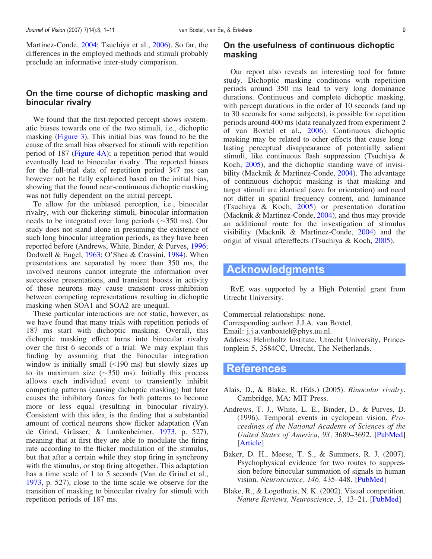<span id="page-8-0"></span>Martinez-Conde, [2004](#page-9-0); Tsuchiya et al., [2006](#page-10-0)). So far, the differences in the employed methods and stimuli probably preclude an informative inter-study comparison.

### On the time course of dichoptic masking and binocular rivalry

We found that the first-reported percept shows systematic biases towards one of the two stimuli, i.e., dichoptic masking ([Figure 3\)](#page-6-0). This initial bias was found to be the cause of the small bias observed for stimuli with repetition period of 187 [\(Figure 4A\)](#page-7-0); a repetition period that would eventually lead to binocular rivalry. The reported biases for the full-trial data of repetition period 347 ms can however not be fully explained based on the initial bias, showing that the found near-continuous dichoptic masking was not fully dependent on the initial percept.

To allow for the unbiased perception, i.e., binocular rivalry, with our flickering stimuli, binocular information needs to be integrated over long periods  $(\sim 350 \text{ ms})$ . Our study does not stand alone in presuming the existence of such long binocular integration periods, as they have been reported before (Andrews, White, Binder, & Purves, 1996; Dodwell & Engel, [1963;](#page-9-0) O'Shea & Crassini, [1984\)](#page-10-0). When presentations are separated by more than 350 ms, the involved neurons cannot integrate the information over successive presentations, and transient boosts in activity of these neurons may cause transient cross-inhibition between competing representations resulting in dichoptic masking when SOA1 and SOA2 are unequal.

These particular interactions are not static, however, as we have found that many trials with repetition periods of 187 ms start with dichoptic masking. Overall, this dichoptic masking effect turns into binocular rivalry over the first 6 seconds of a trial. We may explain this finding by assuming that the binocular integration window is initially small  $(\leq 190 \text{ ms})$  but slowly sizes up to its maximum size  $(\sim 350 \text{ ms})$ . Initially this process allows each individual event to transiently inhibit competing patterns (causing dichoptic masking) but later causes the inhibitory forces for both patterns to become more or less equal (resulting in binocular rivalry). Consistent with this idea, is the finding that a substantial amount of cortical neurons show flicker adaptation (Van de Grind, Grüsser, & Lunkenheimer, [1973,](#page-10-0) p. 527), meaning that at first they are able to modulate the firing rate according to the flicker modulation of the stimulus, but that after a certain while they stop firing in synchrony with the stimulus, or stop firing altogether. This adaptation has a time scale of 1 to 5 seconds (Van de Grind et al., [1973,](#page-10-0) p. 527), close to the time scale we observe for the transition of masking to binocular rivalry for stimuli with repetition periods of 187 ms.

### On the usefulness of continuous dichoptic masking

Our report also reveals an interesting tool for future study. Dichoptic masking conditions with repetition periods around 350 ms lead to very long dominance durations. Continuous and complete dichoptic masking, with percept durations in the order of 10 seconds (and up to 30 seconds for some subjects), is possible for repetition periods around 400 ms (data reanalyzed from experiment 2 of van Boxtel et al., [2006](#page-10-0)). Continuous dichoptic masking may be related to other effects that cause longlasting perceptual disappearance of potentially salient stimuli, like continuous flash suppression (Tsuchiya & Koch, [2005\)](#page-10-0), and the dichoptic standing wave of invisibility (Macknik & Martinez-Conde, [2004\)](#page-9-0). The advantage of continuous dichoptic masking is that masking and target stimuli are identical (save for orientation) and need not differ in spatial frequency content, and luminance (Tsuchiya & Koch, [2005](#page-10-0)) or presentation duration (Macknik & Martinez-Conde, [2004](#page-9-0)), and thus may provide an additional route for the investigation of stimulus visibility (Macknik & Martinez-Conde, [2004](#page-9-0)) and the origin of visual aftereffects (Tsuchiya & Koch, [2005](#page-10-0)).

## Acknowledgments

RvE was supported by a High Potential grant from Utrecht University.

Commercial relationships: none.

Corresponding author: J.J.A. van Boxtel.

Email: j.j.a.vanboxtel@phys.uu.nl.

Address: Helmholtz Institute, Utrecht University, Princetonplein 5, 3584CC, Utrecht, The Netherlands.

### **References**

- Alais, D., & Blake, R. (Eds.) (2005). Binocular rivalry. Cambridge, MA: MIT Press.
- Andrews, T. J., White, L. E., Binder, D., & Purves, D. (1996). Temporal events in cyclopean vision. Proceedings of the National Academy of Sciences of the United States of America, 93, 3689–3692. [\[PubMed](http://www.ncbi.nlm.nih.gov/sites/entrez?Db=PubMed&Cmd=ShowDetailView&TermToSearch=8622998&ordinalpos=50&itool=EntrezSystem2.PEntrez.Pubmed.Pubmed_ResultsPanel.Pubmed_RVDocSum)] [\[Article\]](http://www.pubmedcentral.nih.gov/articlerender.fcgi?tool=pubmed&pubmedid=8622998)
- Baker, D. H., Meese, T. S., & Summers, R. J. (2007). Psychophysical evidence for two routes to suppression before binocular summation of signals in human vision. Neuroscience, 146, 435-448. [[PubMed\]](http://www.ncbi.nlm.nih.gov/sites/entrez?Db=PubMed&Cmd=ShowDetailView&TermToSearch=17346895&ordinalpos=7&itool=EntrezSystem2.PEntrez.Pubmed.Pubmed_ResultsPanel.Pubmed_RVDocSum)
- Blake, R., & Logothetis, N. K. (2002). Visual competition. Nature Reviews, Neuroscience, 3, 13–21. [\[PubMed](http://www.ncbi.nlm.nih.gov/sites/entrez?Db=PubMed&Cmd=ShowDetailView&TermToSearch=11823801&ordinalpos=63&itool=EntrezSystem2.PEntrez.Pubmed.Pubmed_ResultsPanel.Pubmed_RVDocSum)]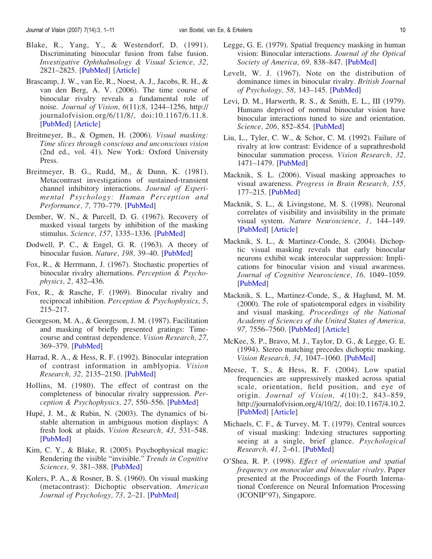- <span id="page-9-0"></span>Blake, R., Yang, Y., & Westendorf, D. (1991). Discriminating binocular fusion from false fusion. Investigative Ophthalmology & Visual Science, 32, 2821–2825. [\[PubMed](http://www.ncbi.nlm.nih.gov/sites/entrez?Db=PubMed&Cmd=ShowDetailView&TermToSearch=1894479&ordinalpos=129&itool=EntrezSystem2.PEntrez.Pubmed.Pubmed_ResultsPanel.Pubmed_RVDocSum)] [[Article\]](http://www.iovs.org/cgi/reprint/32/10/2821)
- Brascamp, J. W., van Ee, R., Noest, A. J., Jacobs, R. H., & van den Berg, A. V. (2006). The time course of binocular rivalry reveals a fundamental role of noise. Journal of Vision, 6(11):8, 1244–1256, http:// journalofvision.org/6/11/8/, doi:10.1167/6.11.8. [\[PubMed](http://www.ncbi.nlm.nih.gov/sites/entrez?Db=pubmed&Cmd=ShowDetailView&TermToSearch=17209732&ordinalpos=1&itool=EntrezSystem2.PEntrez.Pubmed.Pubmed_ResultsPanel.Pubmed_RVDocSum)] [\[Article\]](http://journalofvision.org/6/11/8/)
- Breitmeyer, B., & Ogmen, H. (2006). Visual masking: Time slices through conscious and unconscious vision (2nd ed., vol. 41). New York: Oxford University Press.
- Breitmeyer, B. G., Rudd, M., & Dunn, K. (1981). Metacontrast investigations of sustained-transient channel inhibitory interactions. Journal of Experimental Psychology: Human Perception and Performance, 7, 770–779. [[PubMed\]](http://www.ncbi.nlm.nih.gov/sites/entrez?Db=PubMed&Cmd=ShowDetailView&TermToSearch=6457091&ordinalpos=33&itool=EntrezSystem2.PEntrez.Pubmed.Pubmed_ResultsPanel.Pubmed_RVDocSum)
- Dember, W. N., & Purcell, D. G. (1967). Recovery of masked visual targets by inhibition of the masking stimulus. Science, 157, 1335–1336. [\[PubMed](http://www.ncbi.nlm.nih.gov/sites/entrez?Db=PubMed&Cmd=ShowDetailView&TermToSearch=6039004&ordinalpos=31&itool=EntrezSystem2.PEntrez.Pubmed.Pubmed_ResultsPanel.Pubmed_RVDocSum)]
- Dodwell, P. C., & Engel, G. R. (1963). A theory of binocular fusion. Nature, 198, 39–40. [[PubMed\]](http://www.ncbi.nlm.nih.gov/sites/entrez?Db=PubMed&Cmd=ShowDetailView&TermToSearch=14028322&ordinalpos=40&itool=EntrezSystem2.PEntrez.Pubmed.Pubmed_ResultsPanel.Pubmed_RVDocSum)
- Fox, R., & Herrmann, J. (1967). Stochastic properties of binocular rivalry alternations. Perception & Psychophysics, 2, 432–436.
- Fox, R., & Rasche, F. (1969). Binocular rivalry and reciprocal inhibition. Perception & Psychophysics, 5, 215–217.
- Georgeson, M. A., & Georgeson, J. M. (1987). Facilitation and masking of briefly presented gratings: Timecourse and contrast dependence. Vision Research, 27, 369–379. [\[PubMed](http://www.ncbi.nlm.nih.gov/sites/entrez?Db=PubMed&Cmd=ShowDetailView&TermToSearch=3660598&ordinalpos=38&itool=EntrezSystem2.PEntrez.Pubmed.Pubmed_ResultsPanel.Pubmed_RVDocSum)]
- Harrad, R. A., & Hess, R. F. (1992). Binocular integration of contrast information in amblyopia. Vision Research, 32, 2135–2150. [[PubMed\]](http://www.ncbi.nlm.nih.gov/sites/entrez?Db=PubMed&Cmd=ShowDetailView&TermToSearch=1304091&ordinalpos=39&itool=EntrezSystem2.PEntrez.Pubmed.Pubmed_ResultsPanel.Pubmed_RVDocSum)
- Hollins, M. (1980). The effect of contrast on the completeness of binocular rivalry suppression. Per-ception & Psychophysics, 27, 550–556. [[PubMed\]](http://www.ncbi.nlm.nih.gov/sites/entrez?Db=PubMed&Cmd=ShowDetailView&TermToSearch=7393703&ordinalpos=38&itool=EntrezSystem2.PEntrez.Pubmed.Pubmed_ResultsPanel.Pubmed_RVDocSum)
- Hupé, J. M.,  $\&$  Rubin, N. (2003). The dynamics of bistable alternation in ambiguous motion displays: A fresh look at plaids. Vision Research, 43, 531-548. [\[PubMed](http://www.ncbi.nlm.nih.gov/sites/entrez?Db=PubMed&Cmd=ShowDetailView&TermToSearch=12594999&ordinalpos=3&itool=EntrezSystem2.PEntrez.Pubmed.Pubmed_ResultsPanel.Pubmed_RVDocSum)]
- Kim, C. Y., & Blake, R. (2005). Psychophysical magic: Rendering the visible "invisible." Trends in Cognitive Sciences, 9, 381–388. [\[PubMed](http://www.ncbi.nlm.nih.gov/sites/entrez?Db=PubMed&Cmd=ShowDetailView&TermToSearch=16006172&ordinalpos=97&itool=EntrezSystem2.PEntrez.Pubmed.Pubmed_ResultsPanel.Pubmed_RVDocSum)]
- Kolers, P. A., & Rosner, B. S. (1960). On visual masking (metacontrast): Dichoptic observation. American Journal of Psychology, 73, 2–21. [[PubMed\]](http://www.ncbi.nlm.nih.gov/sites/entrez?Db=PubMed&Cmd=ShowDetailView&TermToSearch=14410688&ordinalpos=29&itool=EntrezSystem2.PEntrez.Pubmed.Pubmed_ResultsPanel.Pubmed_RVDocSum)
- Legge, G. E. (1979). Spatial frequency masking in human vision: Binocular interactions. Journal of the Optical Society of America, 69, 838-847. [\[PubMed](http://www.ncbi.nlm.nih.gov/sites/entrez?Db=PubMed&Cmd=ShowDetailView&TermToSearch=490227&ordinalpos=71&itool=EntrezSystem2.PEntrez.Pubmed.Pubmed_ResultsPanel.Pubmed_RVDocSum)]
- Levelt, W. J. (1967). Note on the distribution of dominance times in binocular rivalry. British Journal of Psychology, 58, 143–145. [\[PubMed](http://www.ncbi.nlm.nih.gov/sites/entrez?Db=PubMed&Cmd=ShowDetailView&TermToSearch=5582864&ordinalpos=41&itool=EntrezSystem2.PEntrez.Pubmed.Pubmed_ResultsPanel.Pubmed_RVDocSum)]
- Levi, D. M., Harwerth, R. S., & Smith, E. L., III (1979). Humans deprived of normal binocular vision have binocular interactions tuned to size and orientation. Science, 206, 852–854. [[PubMed\]](http://www.ncbi.nlm.nih.gov/sites/entrez?Db=PubMed&Cmd=ShowDetailView&TermToSearch=493988&ordinalpos=230&itool=EntrezSystem2.PEntrez.Pubmed.Pubmed_ResultsPanel.Pubmed_RVDocSum)
- Liu, L., Tyler, C. W., & Schor, C. M. (1992). Failure of rivalry at low contrast: Evidence of a suprathreshold binocular summation process. Vision Research, 32, 1471–1479. [[PubMed\]](http://www.ncbi.nlm.nih.gov/sites/entrez?Db=PubMed&Cmd=ShowDetailView&TermToSearch=1455720&ordinalpos=66&itool=EntrezSystem2.PEntrez.Pubmed.Pubmed_ResultsPanel.Pubmed_RVDocSum)
- Macknik, S. L. (2006). Visual masking approaches to visual awareness. Progress in Brain Research, 155, 177–215. [[PubMed\]](http://www.ncbi.nlm.nih.gov/sites/entrez?Db=PubMed&Cmd=ShowDetailView&TermToSearch=17027388&ordinalpos=3&itool=EntrezSystem2.PEntrez.Pubmed.Pubmed_ResultsPanel.Pubmed_RVDocSum)
- Macknik, S. L., & Livingstone, M. S. (1998). Neuronal correlates of visibility and invisibility in the primate visual system. Nature Neuroscience, 1, 144–149. [\[PubMed](http://www.ncbi.nlm.nih.gov/sites/entrez?Db=PubMed&Cmd=ShowDetailView&TermToSearch=10195130&ordinalpos=14&itool=EntrezSystem2.PEntrez.Pubmed.Pubmed_ResultsPanel.Pubmed_RVDocSum)] [\[Article\]](http://www.nature.com/neuro/journal/v1/n2/full/nn0698_144.html)
- Macknik, S. L., & Martinez-Conde, S. (2004). Dichoptic visual masking reveals that early binocular neurons exhibit weak interocular suppression: Implications for binocular vision and visual awareness. Journal of Cognitive Neuroscience, 16, 1049–1059. [\[PubMed](http://www.ncbi.nlm.nih.gov/sites/entrez?Db=PubMed&Cmd=ShowDetailView&TermToSearch=15298791&ordinalpos=7&itool=EntrezSystem2.PEntrez.Pubmed.Pubmed_ResultsPanel.Pubmed_RVDocSum)]
- Macknik, S. L., Martinez-Conde, S., & Haglund, M. M. (2000). The role of spatiotemporal edges in visibility and visual masking. Proceedings of the National Academy of Sciences of the United States of America, 97, 7556–7560. [\[PubMed](http://www.ncbi.nlm.nih.gov/sites/entrez?Db=PubMed&Cmd=ShowDetailView&TermToSearch=10852945&ordinalpos=10&itool=EntrezSystem2.PEntrez.Pubmed.Pubmed_ResultsPanel.Pubmed_RVDocSum)] [\[Article\]](http://www.pubmedcentral.nih.gov/articlerender.fcgi?tool=pubmed&pubmedid=10852945)
- McKee, S. P., Bravo, M. J., Taylor, D. G., & Legge, G. E. (1994). Stereo matching precedes dichoptic masking. Vision Research, 34, 1047-1060. [[PubMed\]](http://www.ncbi.nlm.nih.gov/sites/entrez?Db=PubMed&Cmd=ShowDetailView&TermToSearch=8160414&ordinalpos=48&itool=EntrezSystem2.PEntrez.Pubmed.Pubmed_ResultsPanel.Pubmed_RVDocSum)
- Meese, T. S., & Hess, R. F. (2004). Low spatial frequencies are suppressively masked across spatial scale, orientation, field position, and eye of origin. Journal of Vision, 4(10):2, 843-859, http://journalofvision.org/4/10/2/, doi:10.1167/4.10.2. [\[PubMed](http://www.ncbi.nlm.nih.gov/sites/entrez?Db=pubmed&Cmd=ShowDetailView&TermToSearch=15595890&ordinalpos=15&itool=EntrezSystem2.PEntrez.Pubmed.Pubmed_ResultsPanel.Pubmed_RVDocSum)] [\[Article\]](http://journalofvision.org//4/10/2/)
- Michaels, C. F., & Turvey, M. T. (1979). Central sources of visual masking: Indexing structures supporting seeing at a single, brief glance. Psychological Research, 41, 2–61. [[PubMed\]](http://www.ncbi.nlm.nih.gov/sites/entrez?Db=PubMed&Cmd=ShowDetailView&TermToSearch=538209&ordinalpos=30&itool=EntrezSystem2.PEntrez.Pubmed.Pubmed_ResultsPanel.Pubmed_RVDocSum)
- O'Shea, R. P. (1998). Effect of orientation and spatial frequency on monocular and binocular rivalry. Paper presented at the Proceedings of the Fourth International Conference on Neural Information Processing (ICONIP'97), Singapore.